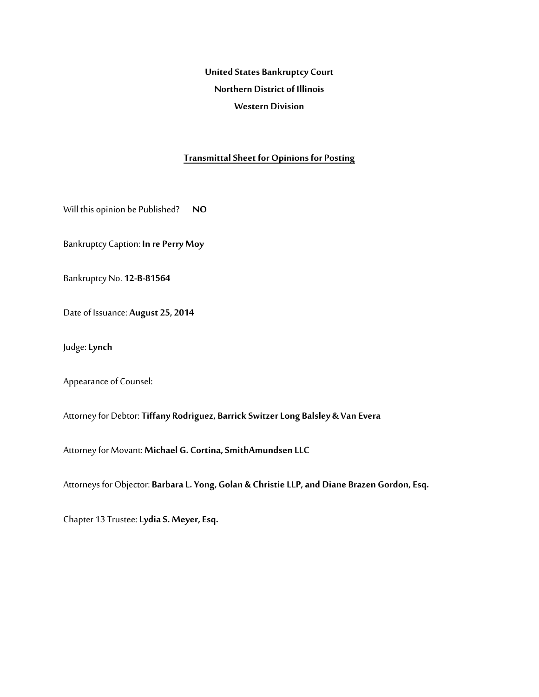**United States Bankruptcy Court Northern District of Illinois Western Division** 

#### **Transmittal Sheet for Opinions for Posting**

Will this opinion be Published? **NO** 

Bankruptcy Caption: **In re Perry Moy** 

Bankruptcy No. **12-B-81564**

Date of Issuance: **August 25, 2014** 

Judge: **Lynch**

Appearance of Counsel:

Attorney for Debtor: **Tiffany Rodriguez, Barrick Switzer Long Balsley & Van Evera**

Attorney for Movant: **Michael G. Cortina, SmithAmundsen LLC** 

Attorneys for Objector: **Barbara L. Yong, Golan & Christie LLP, and Diane Brazen Gordon, Esq.** 

Chapter 13 Trustee: **Lydia S. Meyer, Esq.**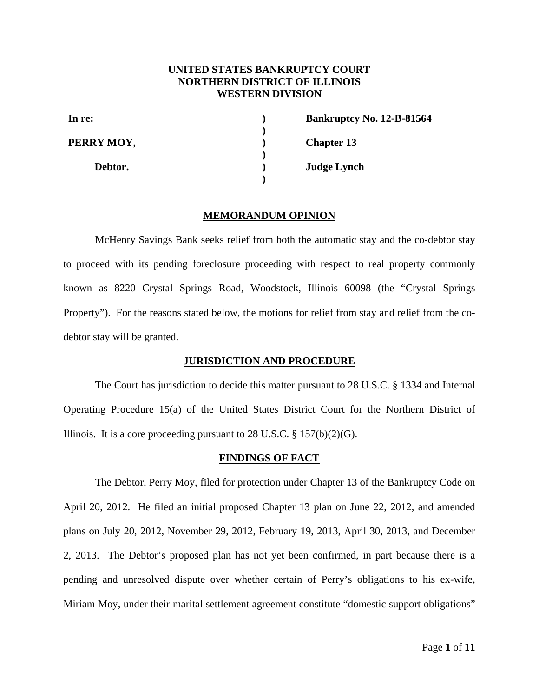# **UNITED STATES BANKRUPTCY COURT NORTHERN DISTRICT OF ILLINOIS WESTERN DIVISION**

**) ) ) ) ) )** 

**In re: PERRY MOY,** 

 **Debtor.**

**Bankruptcy No. 12-B-81564 Chapter 13 Judge Lynch** 

### **MEMORANDUM OPINION**

McHenry Savings Bank seeks relief from both the automatic stay and the co-debtor stay to proceed with its pending foreclosure proceeding with respect to real property commonly known as 8220 Crystal Springs Road, Woodstock, Illinois 60098 (the "Crystal Springs Property"). For the reasons stated below, the motions for relief from stay and relief from the codebtor stay will be granted.

# **JURISDICTION AND PROCEDURE**

The Court has jurisdiction to decide this matter pursuant to 28 U.S.C. § 1334 and Internal Operating Procedure 15(a) of the United States District Court for the Northern District of Illinois. It is a core proceeding pursuant to 28 U.S.C.  $\S 157(b)(2)(G)$ .

#### **FINDINGS OF FACT**

The Debtor, Perry Moy, filed for protection under Chapter 13 of the Bankruptcy Code on April 20, 2012. He filed an initial proposed Chapter 13 plan on June 22, 2012, and amended plans on July 20, 2012, November 29, 2012, February 19, 2013, April 30, 2013, and December 2, 2013. The Debtor's proposed plan has not yet been confirmed, in part because there is a pending and unresolved dispute over whether certain of Perry's obligations to his ex-wife, Miriam Moy, under their marital settlement agreement constitute "domestic support obligations"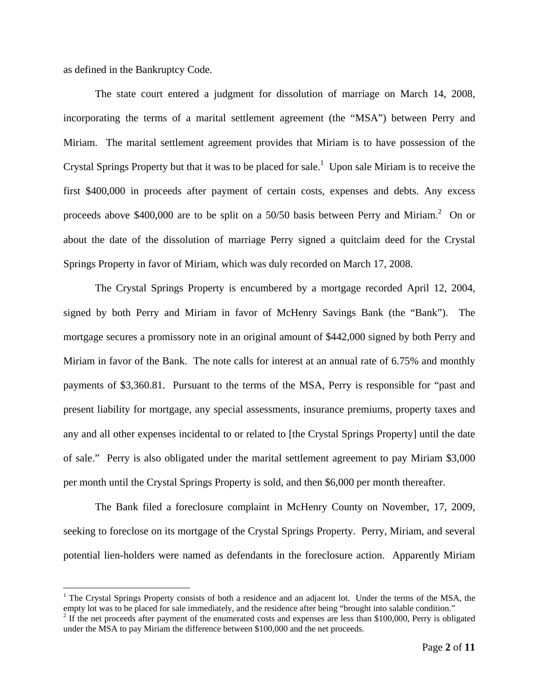as defined in the Bankruptcy Code.

<u>.</u>

The state court entered a judgment for dissolution of marriage on March 14, 2008, incorporating the terms of a marital settlement agreement (the "MSA") between Perry and Miriam. The marital settlement agreement provides that Miriam is to have possession of the Crystal Springs Property but that it was to be placed for sale.<sup>1</sup> Upon sale Miriam is to receive the first \$400,000 in proceeds after payment of certain costs, expenses and debts. Any excess proceeds above \$400,000 are to be split on a 50/50 basis between Perry and Miriam.<sup>2</sup> On or about the date of the dissolution of marriage Perry signed a quitclaim deed for the Crystal Springs Property in favor of Miriam, which was duly recorded on March 17, 2008.

The Crystal Springs Property is encumbered by a mortgage recorded April 12, 2004, signed by both Perry and Miriam in favor of McHenry Savings Bank (the "Bank"). The mortgage secures a promissory note in an original amount of \$442,000 signed by both Perry and Miriam in favor of the Bank. The note calls for interest at an annual rate of 6.75% and monthly payments of \$3,360.81. Pursuant to the terms of the MSA, Perry is responsible for "past and present liability for mortgage, any special assessments, insurance premiums, property taxes and any and all other expenses incidental to or related to [the Crystal Springs Property] until the date of sale." Perry is also obligated under the marital settlement agreement to pay Miriam \$3,000 per month until the Crystal Springs Property is sold, and then \$6,000 per month thereafter.

The Bank filed a foreclosure complaint in McHenry County on November, 17, 2009, seeking to foreclose on its mortgage of the Crystal Springs Property. Perry, Miriam, and several potential lien-holders were named as defendants in the foreclosure action. Apparently Miriam

<sup>&</sup>lt;sup>1</sup> The Crystal Springs Property consists of both a residence and an adjacent lot. Under the terms of the MSA, the empty lot was to be placed for sale immediately, and the residence after being "brought into salable condition."

 $2$  If the net proceeds after payment of the enumerated costs and expenses are less than \$100,000, Perry is obligated under the MSA to pay Miriam the difference between \$100,000 and the net proceeds.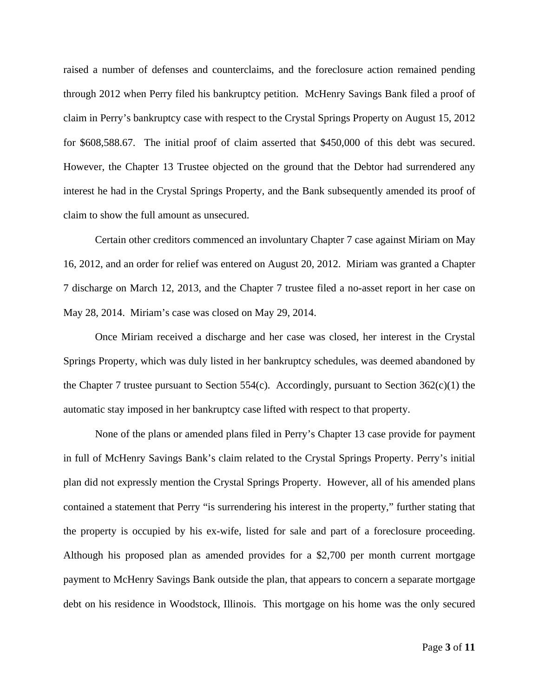raised a number of defenses and counterclaims, and the foreclosure action remained pending through 2012 when Perry filed his bankruptcy petition. McHenry Savings Bank filed a proof of claim in Perry's bankruptcy case with respect to the Crystal Springs Property on August 15, 2012 for \$608,588.67. The initial proof of claim asserted that \$450,000 of this debt was secured. However, the Chapter 13 Trustee objected on the ground that the Debtor had surrendered any interest he had in the Crystal Springs Property, and the Bank subsequently amended its proof of claim to show the full amount as unsecured.

Certain other creditors commenced an involuntary Chapter 7 case against Miriam on May 16, 2012, and an order for relief was entered on August 20, 2012. Miriam was granted a Chapter 7 discharge on March 12, 2013, and the Chapter 7 trustee filed a no-asset report in her case on May 28, 2014. Miriam's case was closed on May 29, 2014.

Once Miriam received a discharge and her case was closed, her interest in the Crystal Springs Property, which was duly listed in her bankruptcy schedules, was deemed abandoned by the Chapter 7 trustee pursuant to Section 554(c). Accordingly, pursuant to Section  $362(c)(1)$  the automatic stay imposed in her bankruptcy case lifted with respect to that property.

None of the plans or amended plans filed in Perry's Chapter 13 case provide for payment in full of McHenry Savings Bank's claim related to the Crystal Springs Property. Perry's initial plan did not expressly mention the Crystal Springs Property. However, all of his amended plans contained a statement that Perry "is surrendering his interest in the property," further stating that the property is occupied by his ex-wife, listed for sale and part of a foreclosure proceeding. Although his proposed plan as amended provides for a \$2,700 per month current mortgage payment to McHenry Savings Bank outside the plan, that appears to concern a separate mortgage debt on his residence in Woodstock, Illinois. This mortgage on his home was the only secured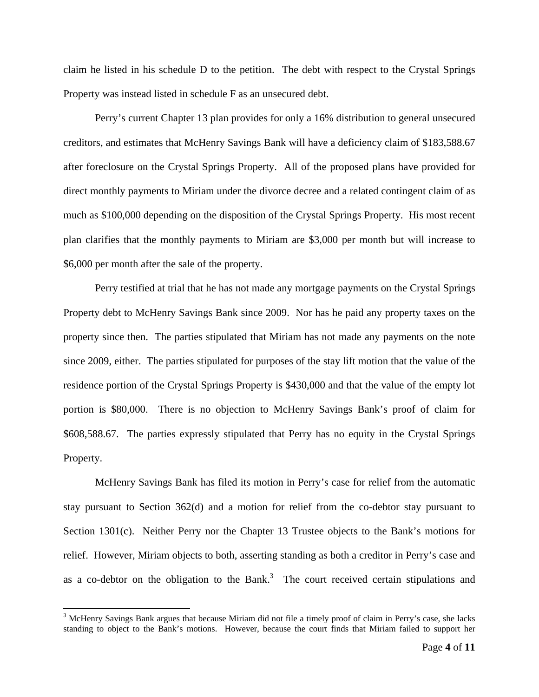claim he listed in his schedule D to the petition. The debt with respect to the Crystal Springs Property was instead listed in schedule F as an unsecured debt.

Perry's current Chapter 13 plan provides for only a 16% distribution to general unsecured creditors, and estimates that McHenry Savings Bank will have a deficiency claim of \$183,588.67 after foreclosure on the Crystal Springs Property. All of the proposed plans have provided for direct monthly payments to Miriam under the divorce decree and a related contingent claim of as much as \$100,000 depending on the disposition of the Crystal Springs Property. His most recent plan clarifies that the monthly payments to Miriam are \$3,000 per month but will increase to \$6,000 per month after the sale of the property.

Perry testified at trial that he has not made any mortgage payments on the Crystal Springs Property debt to McHenry Savings Bank since 2009. Nor has he paid any property taxes on the property since then. The parties stipulated that Miriam has not made any payments on the note since 2009, either. The parties stipulated for purposes of the stay lift motion that the value of the residence portion of the Crystal Springs Property is \$430,000 and that the value of the empty lot portion is \$80,000. There is no objection to McHenry Savings Bank's proof of claim for \$608,588.67. The parties expressly stipulated that Perry has no equity in the Crystal Springs Property.

McHenry Savings Bank has filed its motion in Perry's case for relief from the automatic stay pursuant to Section 362(d) and a motion for relief from the co-debtor stay pursuant to Section 1301(c). Neither Perry nor the Chapter 13 Trustee objects to the Bank's motions for relief. However, Miriam objects to both, asserting standing as both a creditor in Perry's case and as a co-debtor on the obligation to the Bank.<sup>3</sup> The court received certain stipulations and

 $\overline{a}$ 

<sup>&</sup>lt;sup>3</sup> McHenry Savings Bank argues that because Miriam did not file a timely proof of claim in Perry's case, she lacks standing to object to the Bank's motions. However, because the court finds that Miriam failed to support her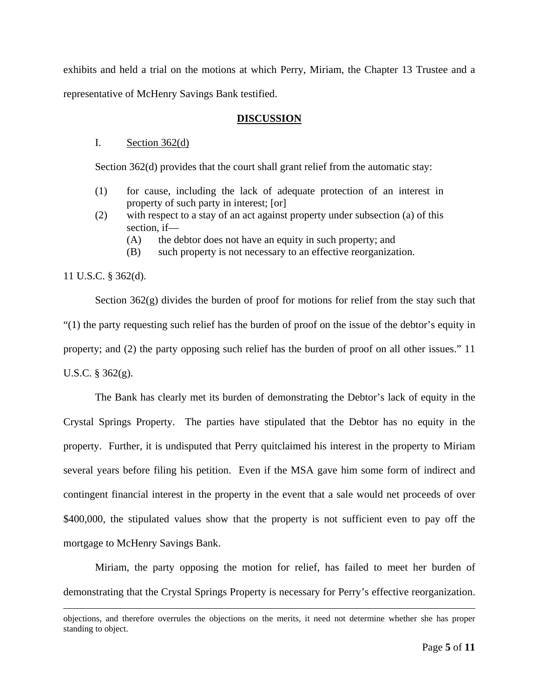exhibits and held a trial on the motions at which Perry, Miriam, the Chapter 13 Trustee and a representative of McHenry Savings Bank testified.

#### **DISCUSSION**

# I. Section  $362(d)$

Section 362(d) provides that the court shall grant relief from the automatic stay:

- (1) for cause, including the lack of adequate protection of an interest in property of such party in interest; [or]
- (2) with respect to a stay of an act against property under subsection (a) of this section, if—
	- (A) the debtor does not have an equity in such property; and
	- (B) such property is not necessary to an effective reorganization.

### 11 U.S.C. § 362(d).

Section 362(g) divides the burden of proof for motions for relief from the stay such that "(1) the party requesting such relief has the burden of proof on the issue of the debtor's equity in property; and (2) the party opposing such relief has the burden of proof on all other issues." 11 U.S.C. § 362(g).

The Bank has clearly met its burden of demonstrating the Debtor's lack of equity in the Crystal Springs Property. The parties have stipulated that the Debtor has no equity in the property. Further, it is undisputed that Perry quitclaimed his interest in the property to Miriam several years before filing his petition. Even if the MSA gave him some form of indirect and contingent financial interest in the property in the event that a sale would net proceeds of over \$400,000, the stipulated values show that the property is not sufficient even to pay off the mortgage to McHenry Savings Bank.

Miriam, the party opposing the motion for relief, has failed to meet her burden of demonstrating that the Crystal Springs Property is necessary for Perry's effective reorganization.

objections, and therefore overrules the objections on the merits, it need not determine whether she has proper standing to object.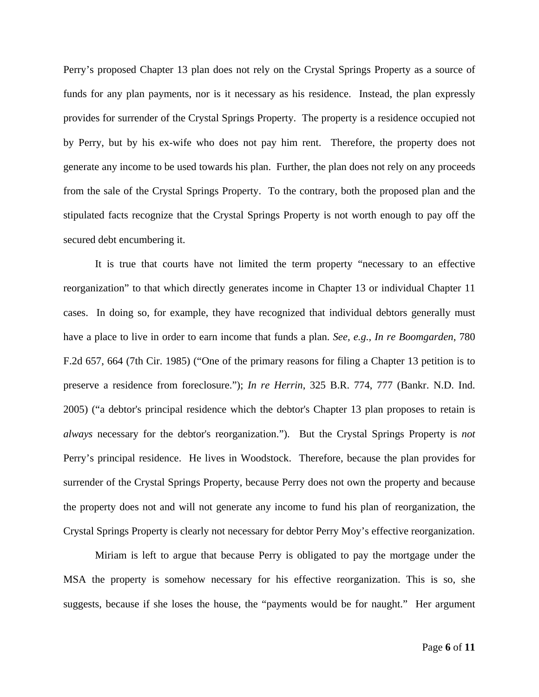Perry's proposed Chapter 13 plan does not rely on the Crystal Springs Property as a source of funds for any plan payments, nor is it necessary as his residence. Instead, the plan expressly provides for surrender of the Crystal Springs Property. The property is a residence occupied not by Perry, but by his ex-wife who does not pay him rent. Therefore, the property does not generate any income to be used towards his plan. Further, the plan does not rely on any proceeds from the sale of the Crystal Springs Property. To the contrary, both the proposed plan and the stipulated facts recognize that the Crystal Springs Property is not worth enough to pay off the secured debt encumbering it.

It is true that courts have not limited the term property "necessary to an effective reorganization" to that which directly generates income in Chapter 13 or individual Chapter 11 cases. In doing so, for example, they have recognized that individual debtors generally must have a place to live in order to earn income that funds a plan. *See, e.g., In re Boomgarden*, 780 F.2d 657, 664 (7th Cir. 1985) ("One of the primary reasons for filing a Chapter 13 petition is to preserve a residence from foreclosure."); *In re Herrin*, 325 B.R. 774, 777 (Bankr. N.D. Ind. 2005) ("a debtor's principal residence which the debtor's Chapter 13 plan proposes to retain is *always* necessary for the debtor's reorganization."). But the Crystal Springs Property is *not* Perry's principal residence. He lives in Woodstock. Therefore, because the plan provides for surrender of the Crystal Springs Property, because Perry does not own the property and because the property does not and will not generate any income to fund his plan of reorganization, the Crystal Springs Property is clearly not necessary for debtor Perry Moy's effective reorganization.

Miriam is left to argue that because Perry is obligated to pay the mortgage under the MSA the property is somehow necessary for his effective reorganization. This is so, she suggests, because if she loses the house, the "payments would be for naught." Her argument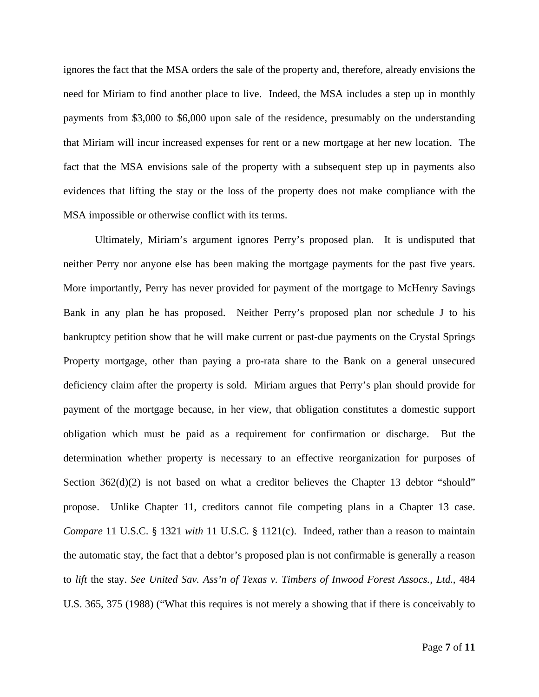ignores the fact that the MSA orders the sale of the property and, therefore, already envisions the need for Miriam to find another place to live. Indeed, the MSA includes a step up in monthly payments from \$3,000 to \$6,000 upon sale of the residence, presumably on the understanding that Miriam will incur increased expenses for rent or a new mortgage at her new location. The fact that the MSA envisions sale of the property with a subsequent step up in payments also evidences that lifting the stay or the loss of the property does not make compliance with the MSA impossible or otherwise conflict with its terms.

Ultimately, Miriam's argument ignores Perry's proposed plan. It is undisputed that neither Perry nor anyone else has been making the mortgage payments for the past five years. More importantly, Perry has never provided for payment of the mortgage to McHenry Savings Bank in any plan he has proposed. Neither Perry's proposed plan nor schedule J to his bankruptcy petition show that he will make current or past-due payments on the Crystal Springs Property mortgage, other than paying a pro-rata share to the Bank on a general unsecured deficiency claim after the property is sold. Miriam argues that Perry's plan should provide for payment of the mortgage because, in her view, that obligation constitutes a domestic support obligation which must be paid as a requirement for confirmation or discharge. But the determination whether property is necessary to an effective reorganization for purposes of Section 362(d)(2) is not based on what a creditor believes the Chapter 13 debtor "should" propose. Unlike Chapter 11, creditors cannot file competing plans in a Chapter 13 case. *Compare* 11 U.S.C. § 1321 *with* 11 U.S.C. § 1121(c). Indeed, rather than a reason to maintain the automatic stay, the fact that a debtor's proposed plan is not confirmable is generally a reason to *lift* the stay. *See United Sav. Ass'n of Texas v. Timbers of Inwood Forest Assocs., Ltd.*, 484 U.S. 365, 375 (1988) ("What this requires is not merely a showing that if there is conceivably to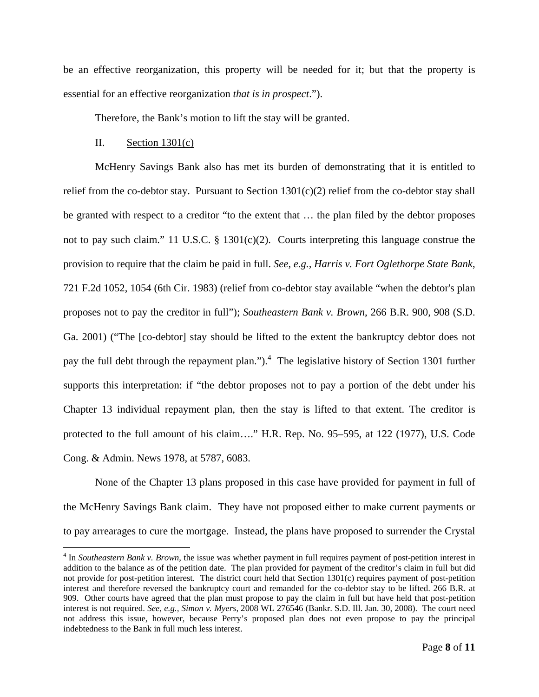be an effective reorganization, this property will be needed for it; but that the property is essential for an effective reorganization *that is in prospect*.").

Therefore, the Bank's motion to lift the stay will be granted.

#### II. Section  $1301(c)$

 $\overline{a}$ 

McHenry Savings Bank also has met its burden of demonstrating that it is entitled to relief from the co-debtor stay. Pursuant to Section  $1301(c)(2)$  relief from the co-debtor stay shall be granted with respect to a creditor "to the extent that … the plan filed by the debtor proposes not to pay such claim." 11 U.S.C. § 1301(c)(2). Courts interpreting this language construe the provision to require that the claim be paid in full. *See, e.g., Harris v. Fort Oglethorpe State Bank*, 721 F.2d 1052, 1054 (6th Cir. 1983) (relief from co-debtor stay available "when the debtor's plan proposes not to pay the creditor in full"); *Southeastern Bank v. Brown*, 266 B.R. 900, 908 (S.D. Ga. 2001) ("The [co-debtor] stay should be lifted to the extent the bankruptcy debtor does not pay the full debt through the repayment plan.").<sup>4</sup> The legislative history of Section 1301 further supports this interpretation: if "the debtor proposes not to pay a portion of the debt under his Chapter 13 individual repayment plan, then the stay is lifted to that extent. The creditor is protected to the full amount of his claim…." H.R. Rep. No. 95–595, at 122 (1977), U.S. Code Cong. & Admin. News 1978, at 5787, 6083.

None of the Chapter 13 plans proposed in this case have provided for payment in full of the McHenry Savings Bank claim. They have not proposed either to make current payments or to pay arrearages to cure the mortgage. Instead, the plans have proposed to surrender the Crystal

<sup>&</sup>lt;sup>4</sup> In *Southeastern Bank v. Brown*, the issue was whether payment in full requires payment of post-petition interest in addition to the balance as of the petition date. The plan provided for payment of the creditor's claim in full but did not provide for post-petition interest. The district court held that Section 1301(c) requires payment of post-petition interest and therefore reversed the bankruptcy court and remanded for the co-debtor stay to be lifted. 266 B.R. at 909. Other courts have agreed that the plan must propose to pay the claim in full but have held that post-petition interest is not required. *See, e.g., Simon v. Myers*, 2008 WL 276546 (Bankr. S.D. Ill. Jan. 30, 2008). The court need not address this issue, however, because Perry's proposed plan does not even propose to pay the principal indebtedness to the Bank in full much less interest.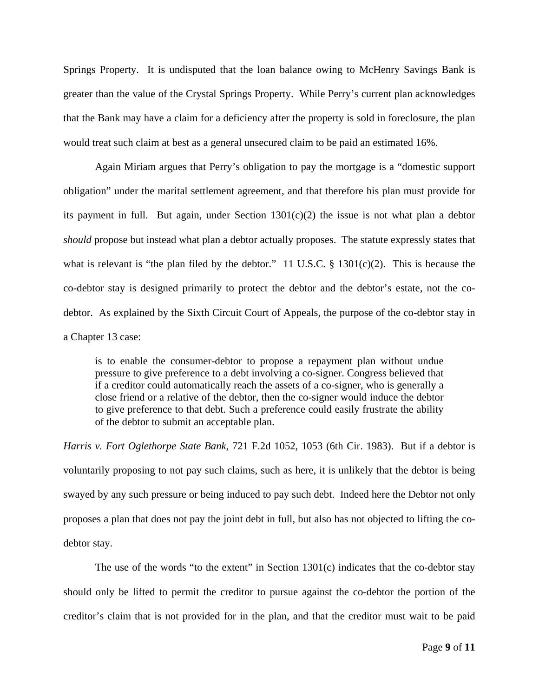Springs Property. It is undisputed that the loan balance owing to McHenry Savings Bank is greater than the value of the Crystal Springs Property. While Perry's current plan acknowledges that the Bank may have a claim for a deficiency after the property is sold in foreclosure, the plan would treat such claim at best as a general unsecured claim to be paid an estimated 16%.

Again Miriam argues that Perry's obligation to pay the mortgage is a "domestic support obligation" under the marital settlement agreement, and that therefore his plan must provide for its payment in full. But again, under Section  $1301(c)(2)$  the issue is not what plan a debtor *should* propose but instead what plan a debtor actually proposes. The statute expressly states that what is relevant is "the plan filed by the debtor." 11 U.S.C. § 1301(c)(2). This is because the co-debtor stay is designed primarily to protect the debtor and the debtor's estate, not the codebtor. As explained by the Sixth Circuit Court of Appeals, the purpose of the co-debtor stay in a Chapter 13 case:

is to enable the consumer-debtor to propose a repayment plan without undue pressure to give preference to a debt involving a co-signer. Congress believed that if a creditor could automatically reach the assets of a co-signer, who is generally a close friend or a relative of the debtor, then the co-signer would induce the debtor to give preference to that debt. Such a preference could easily frustrate the ability of the debtor to submit an acceptable plan.

*Harris v. Fort Oglethorpe State Bank*, 721 F.2d 1052, 1053 (6th Cir. 1983). But if a debtor is voluntarily proposing to not pay such claims, such as here, it is unlikely that the debtor is being swayed by any such pressure or being induced to pay such debt. Indeed here the Debtor not only proposes a plan that does not pay the joint debt in full, but also has not objected to lifting the codebtor stay.

The use of the words "to the extent" in Section  $1301(c)$  indicates that the co-debtor stay should only be lifted to permit the creditor to pursue against the co-debtor the portion of the creditor's claim that is not provided for in the plan, and that the creditor must wait to be paid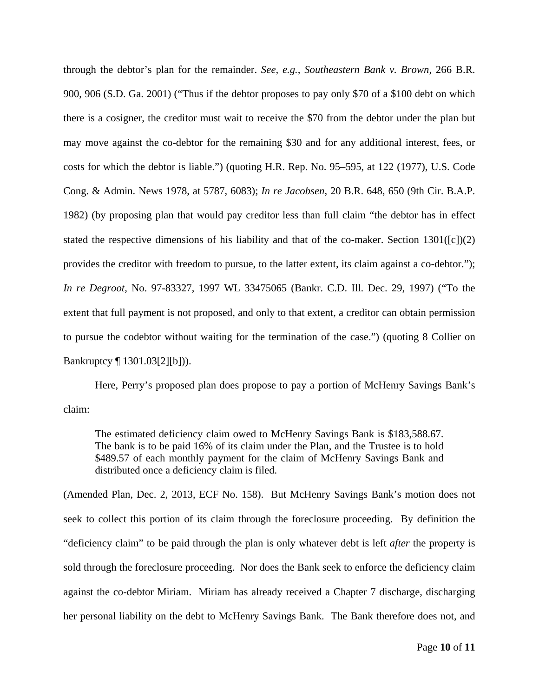through the debtor's plan for the remainder. *See, e.g., Southeastern Bank v. Brown*, 266 B.R. 900, 906 (S.D. Ga. 2001) ("Thus if the debtor proposes to pay only \$70 of a \$100 debt on which there is a cosigner, the creditor must wait to receive the \$70 from the debtor under the plan but may move against the co-debtor for the remaining \$30 and for any additional interest, fees, or costs for which the debtor is liable.") (quoting H.R. Rep. No. 95–595, at 122 (1977), U.S. Code Cong. & Admin. News 1978, at 5787, 6083); *In re Jacobsen*, 20 B.R. 648, 650 (9th Cir. B.A.P. 1982) (by proposing plan that would pay creditor less than full claim "the debtor has in effect stated the respective dimensions of his liability and that of the co-maker. Section  $1301([c])(2)$ provides the creditor with freedom to pursue, to the latter extent, its claim against a co-debtor."); *In re Degroot*, No. 97-83327, 1997 WL 33475065 (Bankr. C.D. Ill. Dec. 29, 1997) ("To the extent that full payment is not proposed, and only to that extent, a creditor can obtain permission to pursue the codebtor without waiting for the termination of the case.") (quoting 8 Collier on Bankruptcy ¶ 1301.03[2][b])).

Here, Perry's proposed plan does propose to pay a portion of McHenry Savings Bank's claim:

The estimated deficiency claim owed to McHenry Savings Bank is \$183,588.67. The bank is to be paid 16% of its claim under the Plan, and the Trustee is to hold \$489.57 of each monthly payment for the claim of McHenry Savings Bank and distributed once a deficiency claim is filed.

(Amended Plan, Dec. 2, 2013, ECF No. 158). But McHenry Savings Bank's motion does not seek to collect this portion of its claim through the foreclosure proceeding. By definition the "deficiency claim" to be paid through the plan is only whatever debt is left *after* the property is sold through the foreclosure proceeding. Nor does the Bank seek to enforce the deficiency claim against the co-debtor Miriam. Miriam has already received a Chapter 7 discharge, discharging her personal liability on the debt to McHenry Savings Bank. The Bank therefore does not, and